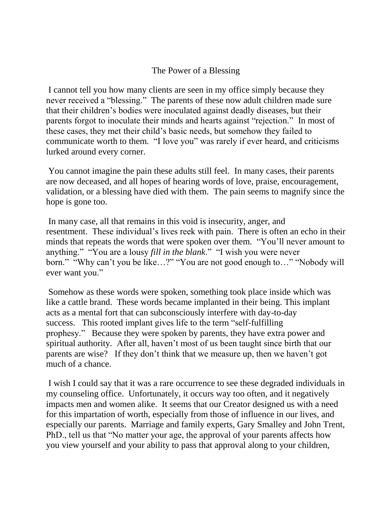## The Power of a Blessing

I cannot tell you how many clients are seen in my office simply because they never received a "blessing." The parents of these now adult children made sure that their children's bodies were inoculated against deadly diseases, but their parents forgot to inoculate their minds and hearts against "rejection." In most of these cases, they met their child's basic needs, but somehow they failed to communicate worth to them. "I love you" was rarely if ever heard, and criticisms lurked around every corner.

You cannot imagine the pain these adults still feel. In many cases, their parents are now deceased, and all hopes of hearing words of love, praise, encouragement, validation, or a blessing have died with them. The pain seems to magnify since the hope is gone too.

In many case, all that remains in this void is insecurity, anger, and resentment. These individual's lives reek with pain. There is often an echo in their minds that repeats the words that were spoken over them. "You'll never amount to anything." "You are a lousy *fill in the blank*." "I wish you were never born." "Why can't you be like…?" "You are not good enough to…" "Nobody will ever want you."

Somehow as these words were spoken, something took place inside which was like a cattle brand. These words became implanted in their being. This implant acts as a mental fort that can subconsciously interfere with day-to-day success. This rooted implant gives life to the term "self-fulfilling prophesy." Because they were spoken by parents, they have extra power and spiritual authority. After all, haven't most of us been taught since birth that our parents are wise? If they don't think that we measure up, then we haven't got much of a chance.

I wish I could say that it was a rare occurrence to see these degraded individuals in my counseling office. Unfortunately, it occurs way too often, and it negatively impacts men and women alike. It seems that our Creator designed us with a need for this impartation of worth, especially from those of influence in our lives, and especially our parents. Marriage and family experts, Gary Smalley and John Trent, PhD., tell us that "No matter your age, the approval of your parents affects how you view yourself and your ability to pass that approval along to your children,